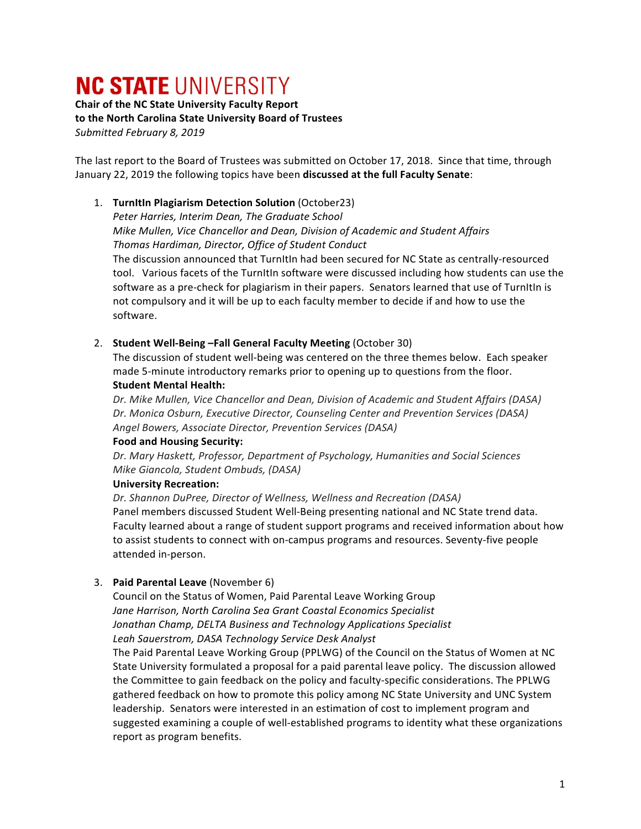# **NC STATE UNIVERSITY**

**Chair of the NC State University Faculty Report** to the North Carolina State University Board of Trustees *Submitted February 8, 2019*

The last report to the Board of Trustees was submitted on October 17, 2018. Since that time, through January 22, 2019 the following topics have been discussed at the full Faculty Senate:

# 1. **TurnItIn Plagiarism Detection Solution** (October23)

Peter Harries, Interim Dean, The Graduate School *Mike Mullen, Vice Chancellor and Dean, Division of Academic and Student Affairs Thomas Hardiman, Director, Office of Student Conduct* The discussion announced that TurnItIn had been secured for NC State as centrally-resourced

tool. Various facets of the TurnItIn software were discussed including how students can use the software as a pre-check for plagiarism in their papers. Senators learned that use of TurnItIn is not compulsory and it will be up to each faculty member to decide if and how to use the software.

#### 2. **Student Well-Being -Fall General Faculty Meeting (October 30)**

The discussion of student well-being was centered on the three themes below. Each speaker made 5-minute introductory remarks prior to opening up to questions from the floor. **Student Mental Health:** 

Dr. Mike Mullen, Vice Chancellor and Dean, Division of Academic and Student Affairs (DASA) Dr. Monica Osburn, Executive Director, Counseling Center and Prevention Services (DASA) *Angel Bowers, Associate Director, Prevention Services (DASA)*

#### **Food and Housing Security:**

Dr. Mary Haskett, Professor, Department of Psychology, Humanities and Social Sciences *Mike Giancola, Student Ombuds, (DASA)*

#### **University Recreation:**

Dr. Shannon DuPree, Director of Wellness, Wellness and Recreation (DASA) Panel members discussed Student Well-Being presenting national and NC State trend data. Faculty learned about a range of student support programs and received information about how to assist students to connect with on-campus programs and resources. Seventy-five people attended in-person.

# 3. **Paid Parental Leave** (November 6)

Council on the Status of Women, Paid Parental Leave Working Group Jane Harrison, North Carolina Sea Grant Coastal Economics Specialist *Jonathan Champ, DELTA Business and Technology Applications Specialist Leah Sauerstrom, DASA Technology Service Desk Analyst* The Paid Parental Leave Working Group (PPLWG) of the Council on the Status of Women at NC

State University formulated a proposal for a paid parental leave policy. The discussion allowed the Committee to gain feedback on the policy and faculty-specific considerations. The PPLWG gathered feedback on how to promote this policy among NC State University and UNC System leadership. Senators were interested in an estimation of cost to implement program and suggested examining a couple of well-established programs to identity what these organizations report as program benefits.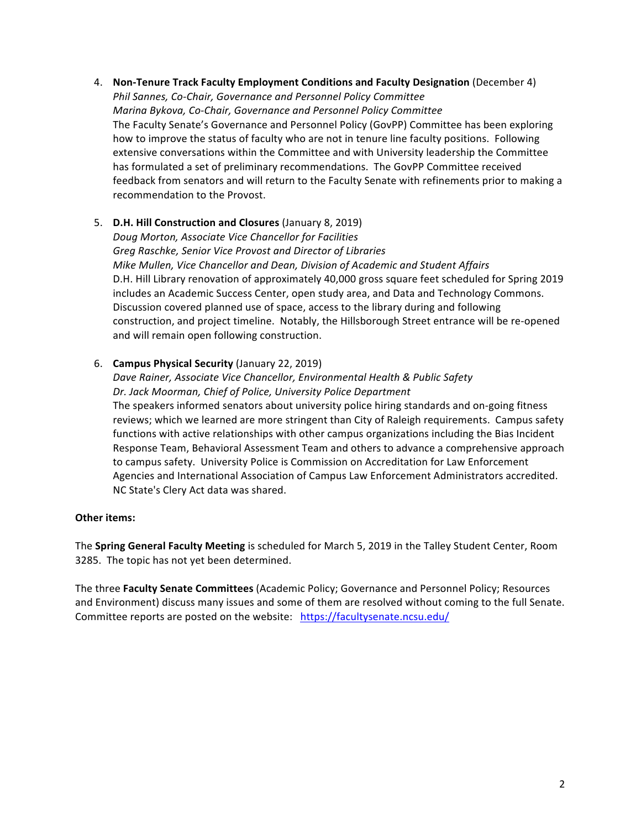4. Non-Tenure Track Faculty Employment Conditions and Faculty Designation (December 4) **Phil Sannes, Co-Chair, Governance and Personnel Policy Committee** *Marina Bykova, Co-Chair, Governance and Personnel Policy Committee* The Faculty Senate's Governance and Personnel Policy (GovPP) Committee has been exploring how to improve the status of faculty who are not in tenure line faculty positions. Following extensive conversations within the Committee and with University leadership the Committee has formulated a set of preliminary recommendations. The GovPP Committee received feedback from senators and will return to the Faculty Senate with refinements prior to making a recommendation to the Provost.

# 5. **D.H. Hill Construction and Closures** (January 8, 2019)

*Doug Morton, Associate Vice Chancellor for Facilities Greg Raschke, Senior Vice Provost and Director of Libraries Mike Mullen, Vice Chancellor and Dean, Division of Academic and Student Affairs* D.H. Hill Library renovation of approximately 40,000 gross square feet scheduled for Spring 2019 includes an Academic Success Center, open study area, and Data and Technology Commons. Discussion covered planned use of space, access to the library during and following construction, and project timeline. Notably, the Hillsborough Street entrance will be re-opened and will remain open following construction.

# 6. **Campus Physical Security** (January 22, 2019)

NC State's Clery Act data was shared.

Dave Rainer, Associate Vice Chancellor, Environmental Health & Public Safety Dr. Jack Moorman, Chief of Police, University Police Department The speakers informed senators about university police hiring standards and on-going fitness reviews; which we learned are more stringent than City of Raleigh requirements. Campus safety functions with active relationships with other campus organizations including the Bias Incident Response Team, Behavioral Assessment Team and others to advance a comprehensive approach to campus safety. University Police is Commission on Accreditation for Law Enforcement Agencies and International Association of Campus Law Enforcement Administrators accredited.

#### **Other items:**

The **Spring General Faculty Meeting** is scheduled for March 5, 2019 in the Talley Student Center, Room 3285. The topic has not yet been determined.

The three Faculty Senate Committees (Academic Policy; Governance and Personnel Policy; Resources and Environment) discuss many issues and some of them are resolved without coming to the full Senate. Committee reports are posted on the website: https://facultysenate.ncsu.edu/